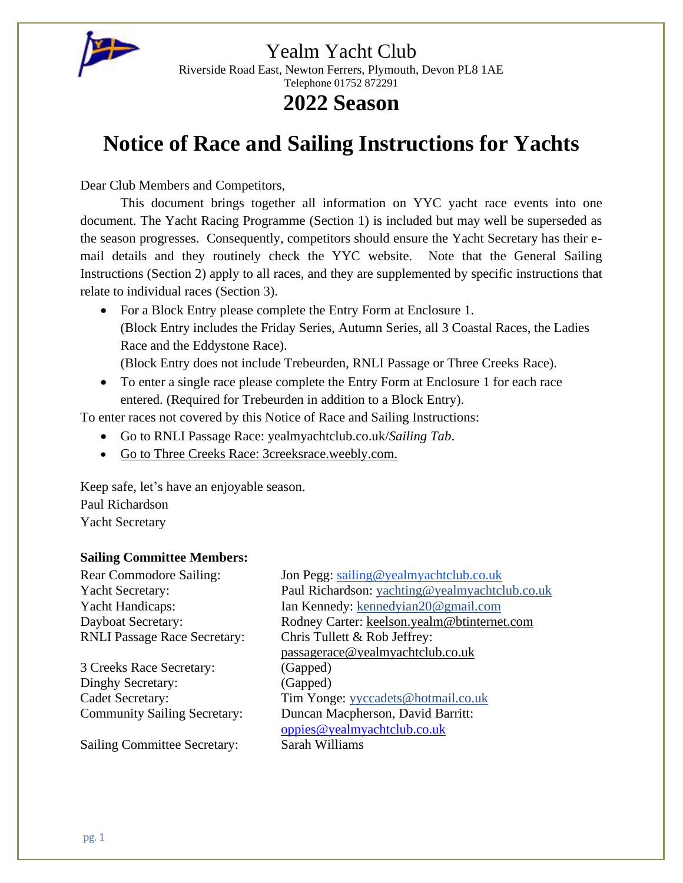

Riverside Road East, Newton Ferrers, Plymouth, Devon PL8 1AE Telephone 01752 872291

# **2022 Season**

# **Notice of Race and Sailing Instructions for Yachts**

Dear Club Members and Competitors,

This document brings together all information on YYC yacht race events into one document. The Yacht Racing Programme (Section 1) is included but may well be superseded as the season progresses. Consequently, competitors should ensure the Yacht Secretary has their email details and they routinely check the YYC website. Note that the General Sailing Instructions (Section 2) apply to all races, and they are supplemented by specific instructions that relate to individual races (Section 3).

• For a Block Entry please complete the Entry Form at Enclosure 1. (Block Entry includes the Friday Series, Autumn Series, all 3 Coastal Races, the Ladies Race and the Eddystone Race).

(Block Entry does not include Trebeurden, RNLI Passage or Three Creeks Race).

• To enter a single race please complete the Entry Form at Enclosure 1 for each race entered. (Required for Trebeurden in addition to a Block Entry).

To enter races not covered by this Notice of Race and Sailing Instructions:

- Go to RNLI Passage Race: yealmyachtclub.co.uk/*Sailing Tab*.
- Go to Three Creeks Race: 3creeksrace.weebly.com.

Keep safe, let's have an enjoyable season. Paul Richardson Yacht Secretary

### **Sailing Committee Members:**

RNLI Passage Race Secretary: Chris Tullett & Rob Jeffrey:

3 Creeks Race Secretary: (Gapped) Dinghy Secretary: (Gapped)

Sailing Committee Secretary: Sarah Williams

Rear Commodore Sailing: Jon Pegg: [sailing@yealmyachtclub.co.uk](mailto:sailing@yealmyachtclub.co.uk) Yacht Secretary: Paul Richardson: [yachting@yealmyachtclub.co.uk](mailto:yachting@yealmyachtclub.co.uk) Yacht Handicaps: Ian Kennedy: [kennedyian20@gmail.com](mailto:kennedyian20@gmail.com) Dayboat Secretary: Rodney Carter: [keelson.yealm@btinternet.com](mailto:keelson.yealm@btinternet.com) [passagerace@yealmyachtclub.co.uk](mailto:passagerace@yealmyachtclub.co.uk) Cadet Secretary: Tim Yonge: [yyccadets@hotmail.co.uk](mailto:yyccadets@hotmail.co.uk) Community Sailing Secretary: Duncan Macpherson, David Barritt: [oppies@yealmyachtclub.co.uk](mailto:oppies@yealmyachtclub.co.uk)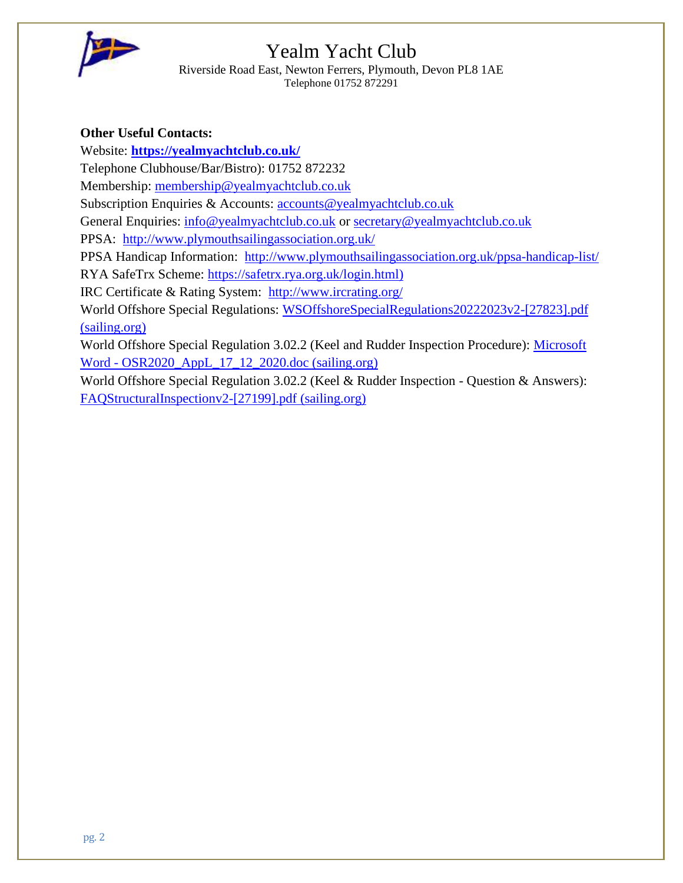

Riverside Road East, Newton Ferrers, Plymouth, Devon PL8 1AE Telephone 01752 872291

### **Other Useful Contacts:**

Website: **<https://yealmyachtclub.co.uk/>**

Telephone Clubhouse/Bar/Bistro): 01752 872232

Membership: [membership@yealmyachtclub.co.uk](mailto:membership@yealmyachtclub.co.uk)

Subscription Enquiries & Accounts: [accounts@yealmyachtclub.co.uk](mailto:accounts@yealmyachtclub.co.uk)

General Enquiries: [info@yealmyachtclub.co.uk](mailto:info@yealmyachtclub.co.uk) or [secretary@yealmyachtclub.co.uk](mailto:secretary@yealmyachtclub.co.uk)

PPSA: <http://www.plymouthsailingassociation.org.uk/>

PPSA Handicap Information: <http://www.plymouthsailingassociation.org.uk/ppsa-handicap-list/>

RYA SafeTrx Scheme: [https://safetrx.rya.org.uk/login.html\)](https://safetrx.rya.org.uk/login.html)

IRC Certificate & Rating System: <http://www.ircrating.org/>

World Offshore Special Regulations: [WSOffshoreSpecialRegulations20222023v2-\[27823\].pdf](https://www.sailing.org/tools/documents/WSOffshoreSpecialRegulations20222023v2-%5b27823%5d.pdf)  [\(sailing.org\)](https://www.sailing.org/tools/documents/WSOffshoreSpecialRegulations20222023v2-%5b27823%5d.pdf)

World Offshore Special Regulation 3.02.2 (Keel and Rudder Inspection Procedure): [Microsoft](https://www.sailing.org/tools/documents/OSR2020AppL17122020-%5b26845%5d.pdf)  Word - [OSR2020\\_AppL\\_17\\_12\\_2020.doc \(sailing.org\)](https://www.sailing.org/tools/documents/OSR2020AppL17122020-%5b26845%5d.pdf)

World Offshore Special Regulation 3.02.2 (Keel & Rudder Inspection - Question & Answers): [FAQStructuralInspectionv2-\[27199\].pdf \(sailing.org\)](https://www.sailing.org/tools/documents/FAQStructuralInspectionv2-%5b27199%5d.pdf)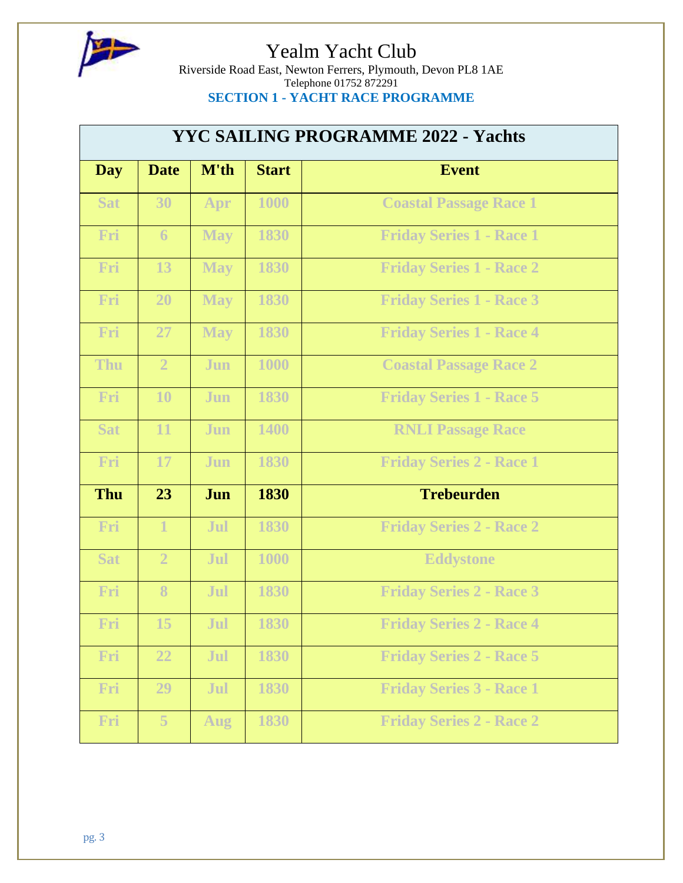

Riverside Road East, Newton Ferrers, Plymouth, Devon PL8 1AE Telephone 01752 872291 **SECTION 1 - YACHT RACE PROGRAMME**

| <b>YYC SAILING PROGRAMME 2022 - Yachts</b> |                |            |              |                                 |  |  |
|--------------------------------------------|----------------|------------|--------------|---------------------------------|--|--|
| <b>Day</b>                                 | <b>Date</b>    | M'th       | <b>Start</b> | <b>Event</b>                    |  |  |
| <b>Sat</b>                                 | 30             | Apr        | 1000         | <b>Coastal Passage Race 1</b>   |  |  |
| Fri                                        | 6              | <b>May</b> | 1830         | <b>Friday Series 1 - Race 1</b> |  |  |
| Fri                                        | 13             | <b>May</b> | 1830         | <b>Friday Series 1 - Race 2</b> |  |  |
| Fri                                        | 20             | <b>May</b> | 1830         | <b>Friday Series 1 - Race 3</b> |  |  |
| Fri                                        | 27             | <b>May</b> | 1830         | <b>Friday Series 1 - Race 4</b> |  |  |
| <b>Thu</b>                                 | $\overline{2}$ | Jun        | 1000         | <b>Coastal Passage Race 2</b>   |  |  |
| Fri                                        | 10             | Jun        | 1830         | <b>Friday Series 1 - Race 5</b> |  |  |
| <b>Sat</b>                                 | 11             | Jun        | 1400         | <b>RNLI Passage Race</b>        |  |  |
| Fri                                        | 17             | Jun        | 1830         | <b>Friday Series 2 - Race 1</b> |  |  |
| <b>Thu</b>                                 | 23             | Jun        | 1830         | <b>Trebeurden</b>               |  |  |
| Fri                                        | $\mathbf{1}$   | Jul        | 1830         | <b>Friday Series 2 - Race 2</b> |  |  |
| <b>Sat</b>                                 | $\overline{2}$ | Jul        | 1000         | <b>Eddystone</b>                |  |  |
| Fri                                        | 8              | Jul        | 1830         | <b>Friday Series 2 - Race 3</b> |  |  |
| Fri                                        | 15             | Jul        | 1830         | <b>Friday Series 2 - Race 4</b> |  |  |
| Fri                                        | 22             | Jul        | 1830         | <b>Friday Series 2 - Race 5</b> |  |  |
| Fri                                        | 29             | Jul        | 1830         | <b>Friday Series 3 - Race 1</b> |  |  |
| Fri                                        | 5              | <b>Aug</b> | 1830         | <b>Friday Series 2 - Race 2</b> |  |  |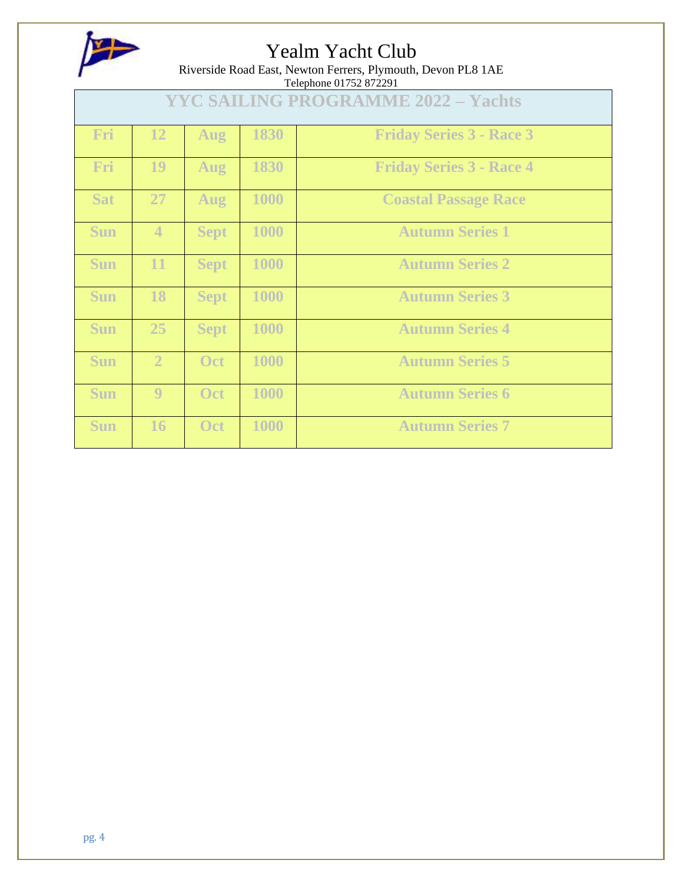

Riverside Road East, Newton Ferrers, Plymouth, Devon PL8 1AE

| Telephone 01752 872291                     |                |             |      |                                 |
|--------------------------------------------|----------------|-------------|------|---------------------------------|
| <b>YYC SAILING PROGRAMME 2022 - Yachts</b> |                |             |      |                                 |
| Fri                                        | 12             | Aug         | 1830 | <b>Friday Series 3 - Race 3</b> |
| Fri                                        | 19             | Aug         | 1830 | <b>Friday Series 3 - Race 4</b> |
| <b>Sat</b>                                 | 27             | Aug         | 1000 | <b>Coastal Passage Race</b>     |
| <b>Sun</b>                                 | $\overline{4}$ | <b>Sept</b> | 1000 | <b>Autumn Series 1</b>          |
| <b>Sun</b>                                 | 11             | <b>Sept</b> | 1000 | <b>Autumn Series 2</b>          |
| <b>Sun</b>                                 | 18             | <b>Sept</b> | 1000 | <b>Autumn Series 3</b>          |
| <b>Sun</b>                                 | 25             | <b>Sept</b> | 1000 | <b>Autumn Series 4</b>          |
| <b>Sun</b>                                 | $\overline{2}$ | Oct         | 1000 | <b>Autumn Series 5</b>          |
| <b>Sun</b>                                 | 9              | Oct         | 1000 | <b>Autumn Series 6</b>          |
| <b>Sun</b>                                 | 16             | Oct         | 1000 | <b>Autumn Series 7</b>          |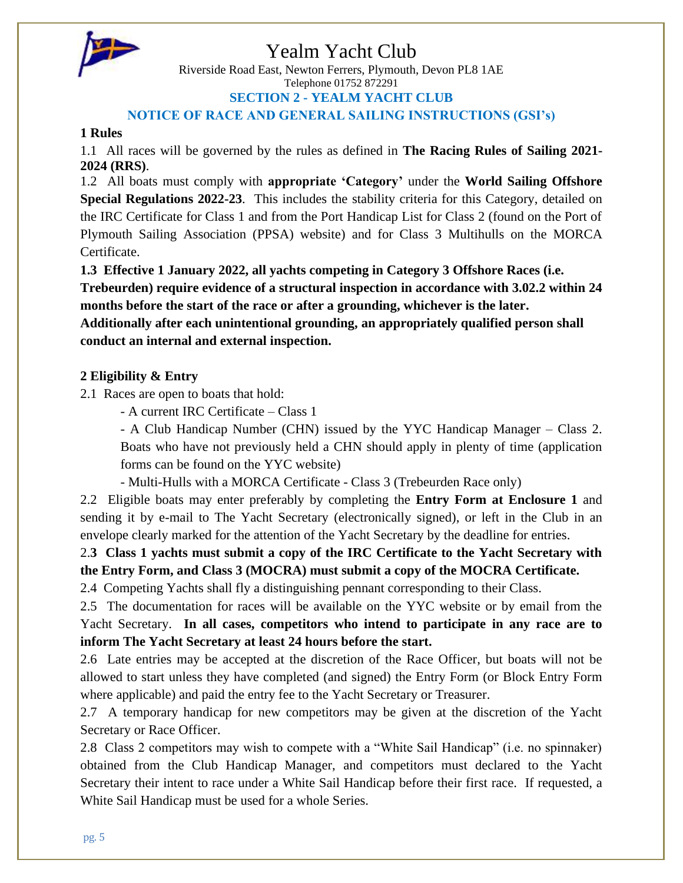

Riverside Road East, Newton Ferrers, Plymouth, Devon PL8 1AE Telephone 01752 872291 **SECTION 2 - YEALM YACHT CLUB**

**NOTICE OF RACE AND GENERAL SAILING INSTRUCTIONS (GSI's)**

### **1 Rules**

1.1 All races will be governed by the rules as defined in **The Racing Rules of Sailing 2021- 2024 (RRS)**.

1.2 All boats must comply with **appropriate 'Category'** under the **World Sailing Offshore Special Regulations 2022-23**. This includes the stability criteria for this Category, detailed on the IRC Certificate for Class 1 and from the Port Handicap List for Class 2 (found on the Port of Plymouth Sailing Association (PPSA) website) and for Class 3 Multihulls on the MORCA Certificate.

**1.3 Effective 1 January 2022, all yachts competing in Category 3 Offshore Races (i.e. Trebeurden) require evidence of a structural inspection in accordance with 3.02.2 within 24 months before the start of the race or after a grounding, whichever is the later.** 

**Additionally after each unintentional grounding, an appropriately qualified person shall conduct an internal and external inspection.**

### **2 Eligibility & Entry**

2.1 Races are open to boats that hold:

- A current IRC Certificate – Class 1

- A Club Handicap Number (CHN) issued by the YYC Handicap Manager – Class 2. Boats who have not previously held a CHN should apply in plenty of time (application forms can be found on the YYC website)

- Multi-Hulls with a MORCA Certificate - Class 3 (Trebeurden Race only)

2.2 Eligible boats may enter preferably by completing the **Entry Form at Enclosure 1** and sending it by e-mail to The Yacht Secretary (electronically signed), or left in the Club in an envelope clearly marked for the attention of the Yacht Secretary by the deadline for entries.

2.**3 Class 1 yachts must submit a copy of the IRC Certificate to the Yacht Secretary with the Entry Form, and Class 3 (MOCRA) must submit a copy of the MOCRA Certificate.**

2.4 Competing Yachts shall fly a distinguishing pennant corresponding to their Class.

2.5 The documentation for races will be available on the YYC website or by email from the Yacht Secretary. **In all cases, competitors who intend to participate in any race are to inform The Yacht Secretary at least 24 hours before the start.**

2.6 Late entries may be accepted at the discretion of the Race Officer, but boats will not be allowed to start unless they have completed (and signed) the Entry Form (or Block Entry Form where applicable) and paid the entry fee to the Yacht Secretary or Treasurer.

2.7 A temporary handicap for new competitors may be given at the discretion of the Yacht Secretary or Race Officer.

2.8 Class 2 competitors may wish to compete with a "White Sail Handicap" (i.e. no spinnaker) obtained from the Club Handicap Manager, and competitors must declared to the Yacht Secretary their intent to race under a White Sail Handicap before their first race. If requested, a White Sail Handicap must be used for a whole Series.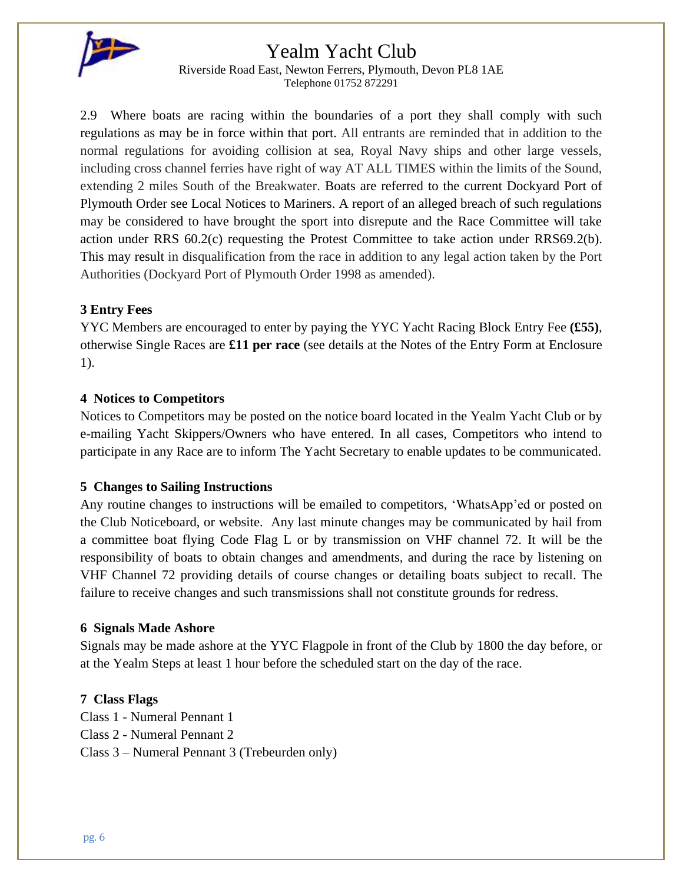

Riverside Road East, Newton Ferrers, Plymouth, Devon PL8 1AE Telephone 01752 872291

2.9 Where boats are racing within the boundaries of a port they shall comply with such regulations as may be in force within that port. All entrants are reminded that in addition to the normal regulations for avoiding collision at sea, Royal Navy ships and other large vessels, including cross channel ferries have right of way AT ALL TIMES within the limits of the Sound, extending 2 miles South of the Breakwater. Boats are referred to the current Dockyard Port of Plymouth Order see Local Notices to Mariners. A report of an alleged breach of such regulations may be considered to have brought the sport into disrepute and the Race Committee will take action under RRS 60.2(c) requesting the Protest Committee to take action under RRS69.2(b). This may result in disqualification from the race in addition to any legal action taken by the Port Authorities (Dockyard Port of Plymouth Order 1998 as amended).

### **3 Entry Fees**

YYC Members are encouraged to enter by paying the YYC Yacht Racing Block Entry Fee **(£55)**, otherwise Single Races are **£11 per race** (see details at the Notes of the Entry Form at Enclosure 1).

### **4 Notices to Competitors**

Notices to Competitors may be posted on the notice board located in the Yealm Yacht Club or by e-mailing Yacht Skippers/Owners who have entered. In all cases, Competitors who intend to participate in any Race are to inform The Yacht Secretary to enable updates to be communicated.

### **5 Changes to Sailing Instructions**

Any routine changes to instructions will be emailed to competitors, 'WhatsApp'ed or posted on the Club Noticeboard, or website. Any last minute changes may be communicated by hail from a committee boat flying Code Flag L or by transmission on VHF channel 72. It will be the responsibility of boats to obtain changes and amendments, and during the race by listening on VHF Channel 72 providing details of course changes or detailing boats subject to recall. The failure to receive changes and such transmissions shall not constitute grounds for redress.

### **6 Signals Made Ashore**

Signals may be made ashore at the YYC Flagpole in front of the Club by 1800 the day before, or at the Yealm Steps at least 1 hour before the scheduled start on the day of the race.

### **7 Class Flags**

Class 1 - Numeral Pennant 1 Class 2 - Numeral Pennant 2 Class 3 – Numeral Pennant 3 (Trebeurden only)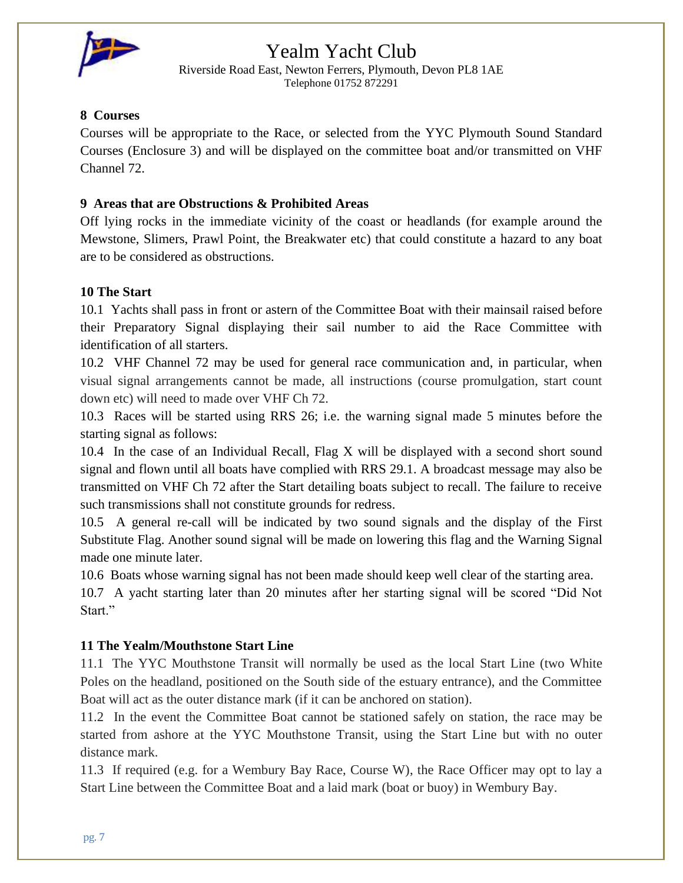

Riverside Road East, Newton Ferrers, Plymouth, Devon PL8 1AE Telephone 01752 872291

### **8 Courses**

Courses will be appropriate to the Race, or selected from the YYC Plymouth Sound Standard Courses (Enclosure 3) and will be displayed on the committee boat and/or transmitted on VHF Channel 72.

### **9 Areas that are Obstructions & Prohibited Areas**

Off lying rocks in the immediate vicinity of the coast or headlands (for example around the Mewstone, Slimers, Prawl Point, the Breakwater etc) that could constitute a hazard to any boat are to be considered as obstructions.

### **10 The Start**

10.1 Yachts shall pass in front or astern of the Committee Boat with their mainsail raised before their Preparatory Signal displaying their sail number to aid the Race Committee with identification of all starters.

10.2 VHF Channel 72 may be used for general race communication and, in particular, when visual signal arrangements cannot be made, all instructions (course promulgation, start count down etc) will need to made over VHF Ch 72.

10.3 Races will be started using RRS 26; i.e. the warning signal made 5 minutes before the starting signal as follows:

10.4 In the case of an Individual Recall, Flag X will be displayed with a second short sound signal and flown until all boats have complied with RRS 29.1. A broadcast message may also be transmitted on VHF Ch 72 after the Start detailing boats subject to recall. The failure to receive such transmissions shall not constitute grounds for redress.

10.5 A general re-call will be indicated by two sound signals and the display of the First Substitute Flag. Another sound signal will be made on lowering this flag and the Warning Signal made one minute later.

10.6 Boats whose warning signal has not been made should keep well clear of the starting area.

10.7 A yacht starting later than 20 minutes after her starting signal will be scored "Did Not Start."

### **11 The Yealm/Mouthstone Start Line**

11.1 The YYC Mouthstone Transit will normally be used as the local Start Line (two White Poles on the headland, positioned on the South side of the estuary entrance), and the Committee Boat will act as the outer distance mark (if it can be anchored on station).

11.2 In the event the Committee Boat cannot be stationed safely on station, the race may be started from ashore at the YYC Mouthstone Transit, using the Start Line but with no outer distance mark.

11.3 If required (e.g. for a Wembury Bay Race, Course W), the Race Officer may opt to lay a Start Line between the Committee Boat and a laid mark (boat or buoy) in Wembury Bay.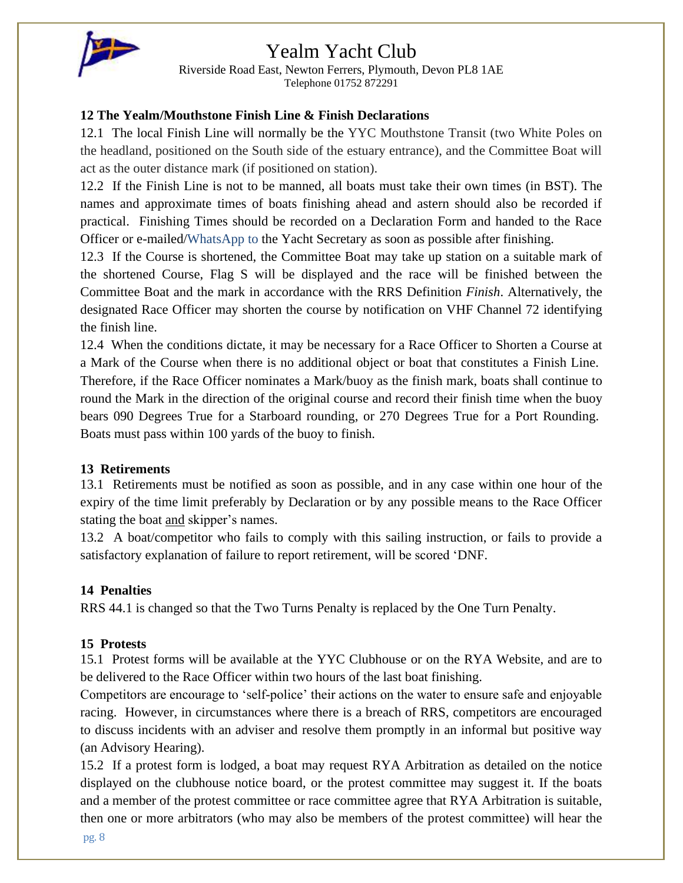

Riverside Road East, Newton Ferrers, Plymouth, Devon PL8 1AE Telephone 01752 872291

### **12 The Yealm/Mouthstone Finish Line & Finish Declarations**

12.1 The local Finish Line will normally be the YYC Mouthstone Transit (two White Poles on the headland, positioned on the South side of the estuary entrance), and the Committee Boat will act as the outer distance mark (if positioned on station).

12.2 If the Finish Line is not to be manned, all boats must take their own times (in BST). The names and approximate times of boats finishing ahead and astern should also be recorded if practical. Finishing Times should be recorded on a Declaration Form and handed to the Race Officer or e-mailed/WhatsApp to the Yacht Secretary as soon as possible after finishing.

12.3 If the Course is shortened, the Committee Boat may take up station on a suitable mark of the shortened Course, Flag S will be displayed and the race will be finished between the Committee Boat and the mark in accordance with the RRS Definition *Finish*. Alternatively, the designated Race Officer may shorten the course by notification on VHF Channel 72 identifying the finish line.

12.4 When the conditions dictate, it may be necessary for a Race Officer to Shorten a Course at a Mark of the Course when there is no additional object or boat that constitutes a Finish Line. Therefore, if the Race Officer nominates a Mark/buoy as the finish mark, boats shall continue to round the Mark in the direction of the original course and record their finish time when the buoy bears 090 Degrees True for a Starboard rounding, or 270 Degrees True for a Port Rounding. Boats must pass within 100 yards of the buoy to finish.

### **13 Retirements**

13.1 Retirements must be notified as soon as possible, and in any case within one hour of the expiry of the time limit preferably by Declaration or by any possible means to the Race Officer stating the boat <u>and</u> skipper's names.

13.2 A boat/competitor who fails to comply with this sailing instruction, or fails to provide a satisfactory explanation of failure to report retirement, will be scored 'DNF.

### **14 Penalties**

RRS 44.1 is changed so that the Two Turns Penalty is replaced by the One Turn Penalty.

### **15 Protests**

15.1 Protest forms will be available at the YYC Clubhouse or on the RYA Website, and are to be delivered to the Race Officer within two hours of the last boat finishing.

Competitors are encourage to 'self-police' their actions on the water to ensure safe and enjoyable racing. However, in circumstances where there is a breach of RRS, competitors are encouraged to discuss incidents with an adviser and resolve them promptly in an informal but positive way (an Advisory Hearing).

15.2 If a protest form is lodged, a boat may request RYA Arbitration as detailed on the notice displayed on the clubhouse notice board, or the protest committee may suggest it. If the boats and a member of the protest committee or race committee agree that RYA Arbitration is suitable, then one or more arbitrators (who may also be members of the protest committee) will hear the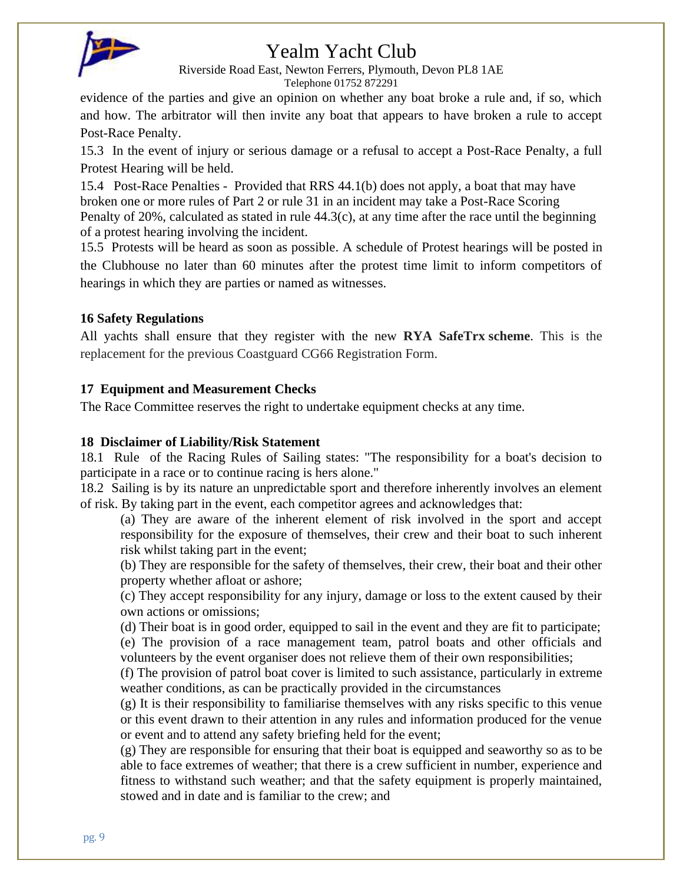

Riverside Road East, Newton Ferrers, Plymouth, Devon PL8 1AE Telephone 01752 872291

evidence of the parties and give an opinion on whether any boat broke a rule and, if so, which and how. The arbitrator will then invite any boat that appears to have broken a rule to accept Post-Race Penalty.

15.3 In the event of injury or serious damage or a refusal to accept a Post-Race Penalty, a full Protest Hearing will be held.

15.4 Post-Race Penalties - Provided that RRS 44.1(b) does not apply, a boat that may have broken one or more rules of Part 2 or rule 31 in an incident may take a Post-Race Scoring Penalty of 20%, calculated as stated in rule 44.3(c), at any time after the race until the beginning of a protest hearing involving the incident.

15.5 Protests will be heard as soon as possible. A schedule of Protest hearings will be posted in the Clubhouse no later than 60 minutes after the protest time limit to inform competitors of hearings in which they are parties or named as witnesses.

### **16 Safety Regulations**

All yachts shall ensure that they register with the new **RYA SafeTrx scheme**. This is the replacement for the previous Coastguard CG66 Registration Form.

### **17 Equipment and Measurement Checks**

The Race Committee reserves the right to undertake equipment checks at any time.

### **18 Disclaimer of Liability/Risk Statement**

18.1 Rule of the Racing Rules of Sailing states: "The responsibility for a boat's decision to participate in a race or to continue racing is hers alone."

18.2 Sailing is by its nature an unpredictable sport and therefore inherently involves an element of risk. By taking part in the event, each competitor agrees and acknowledges that:

(a) They are aware of the inherent element of risk involved in the sport and accept responsibility for the exposure of themselves, their crew and their boat to such inherent risk whilst taking part in the event;

(b) They are responsible for the safety of themselves, their crew, their boat and their other property whether afloat or ashore;

(c) They accept responsibility for any injury, damage or loss to the extent caused by their own actions or omissions;

(d) Their boat is in good order, equipped to sail in the event and they are fit to participate; (e) The provision of a race management team, patrol boats and other officials and volunteers by the event organiser does not relieve them of their own responsibilities;

(f) The provision of patrol boat cover is limited to such assistance, particularly in extreme weather conditions, as can be practically provided in the circumstances

(g) It is their responsibility to familiarise themselves with any risks specific to this venue or this event drawn to their attention in any rules and information produced for the venue or event and to attend any safety briefing held for the event;

(g) They are responsible for ensuring that their boat is equipped and seaworthy so as to be able to face extremes of weather; that there is a crew sufficient in number, experience and fitness to withstand such weather; and that the safety equipment is properly maintained, stowed and in date and is familiar to the crew; and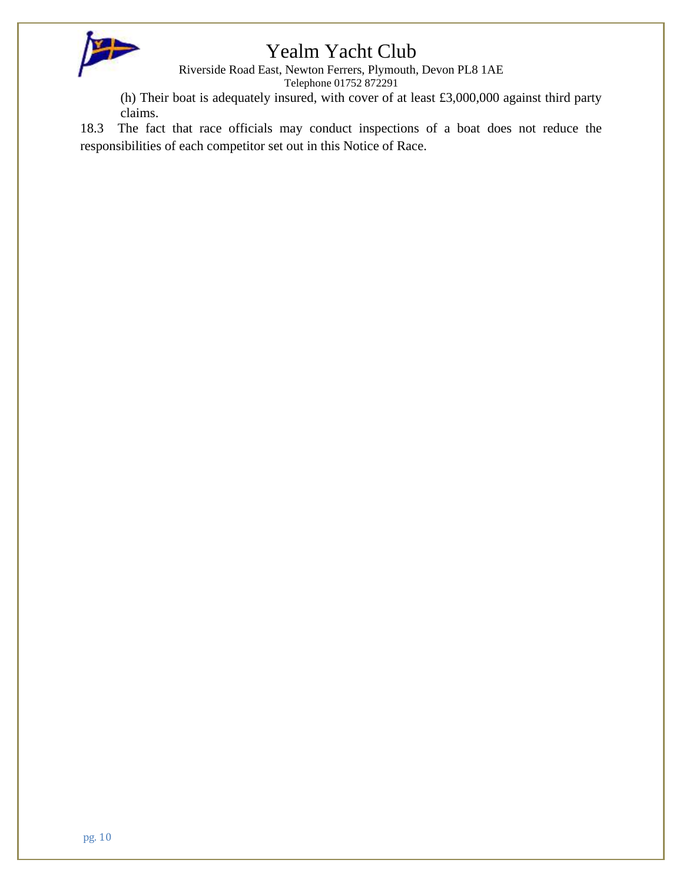

Riverside Road East, Newton Ferrers, Plymouth, Devon PL8 1AE

Telephone 01752 872291

(h) Their boat is adequately insured, with cover of at least £3,000,000 against third party claims.

18.3 The fact that race officials may conduct inspections of a boat does not reduce the responsibilities of each competitor set out in this Notice of Race.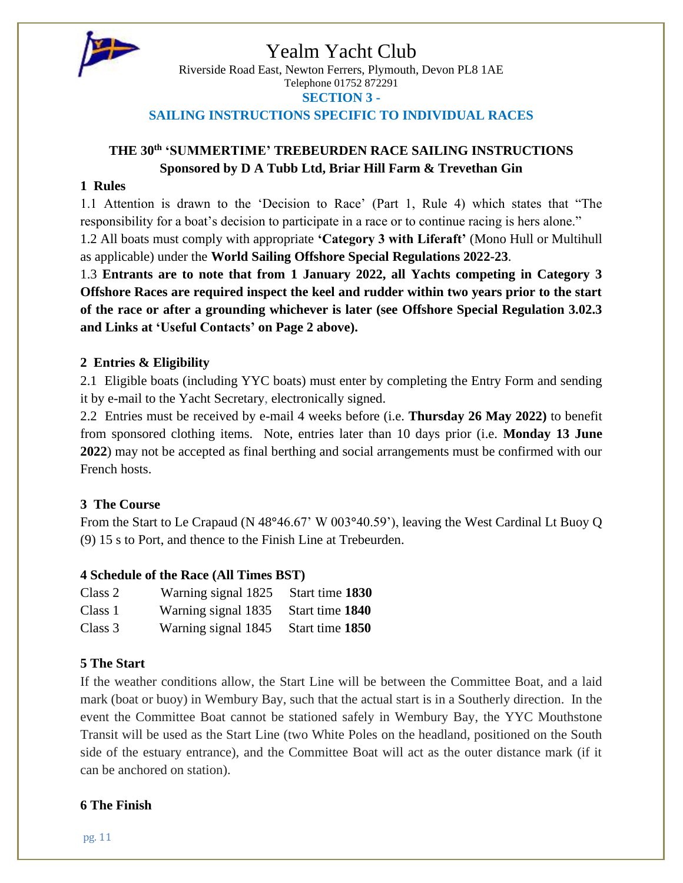

Riverside Road East, Newton Ferrers, Plymouth, Devon PL8 1AE Telephone 01752 872291 **SECTION 3 -**

### **SAILING INSTRUCTIONS SPECIFIC TO INDIVIDUAL RACES**

### **THE 30th 'SUMMERTIME' TREBEURDEN RACE SAILING INSTRUCTIONS Sponsored by D A Tubb Ltd, Briar Hill Farm & Trevethan Gin**

### **1 Rules**

1.1 Attention is drawn to the 'Decision to Race' (Part 1, Rule 4) which states that "The responsibility for a boat's decision to participate in a race or to continue racing is hers alone."

1.2 All boats must comply with appropriate **'Category 3 with Liferaft'** (Mono Hull or Multihull as applicable) under the **World Sailing Offshore Special Regulations 2022-23**.

1.3 **Entrants are to note that from 1 January 2022, all Yachts competing in Category 3 Offshore Races are required inspect the keel and rudder within two years prior to the start of the race or after a grounding whichever is later (see Offshore Special Regulation 3.02.3 and Links at 'Useful Contacts' on Page 2 above).**

### **2 Entries & Eligibility**

2.1 Eligible boats (including YYC boats) must enter by completing the Entry Form and sending it by e-mail to the Yacht Secretary, electronically signed.

2.2 Entries must be received by e-mail 4 weeks before (i.e. **Thursday 26 May 2022)** to benefit from sponsored clothing items. Note, entries later than 10 days prior (i.e. **Monday 13 June 2022**) may not be accepted as final berthing and social arrangements must be confirmed with our French hosts.

### **3 The Course**

From the Start to Le Crapaud (N 48**°**46.67' W 003**°**40.59'), leaving the West Cardinal Lt Buoy Q (9) 15 s to Port, and thence to the Finish Line at Trebeurden.

### **4 Schedule of the Race (All Times BST)**

| Class 2 | Warning signal 1825 | Start time 1830 |
|---------|---------------------|-----------------|
| Class 1 | Warning signal 1835 | Start time 1840 |
| Class 3 | Warning signal 1845 | Start time 1850 |

### **5 The Start**

If the weather conditions allow, the Start Line will be between the Committee Boat, and a laid mark (boat or buoy) in Wembury Bay, such that the actual start is in a Southerly direction. In the event the Committee Boat cannot be stationed safely in Wembury Bay, the YYC Mouthstone Transit will be used as the Start Line (two White Poles on the headland, positioned on the South side of the estuary entrance), and the Committee Boat will act as the outer distance mark (if it can be anchored on station).

### **6 The Finish**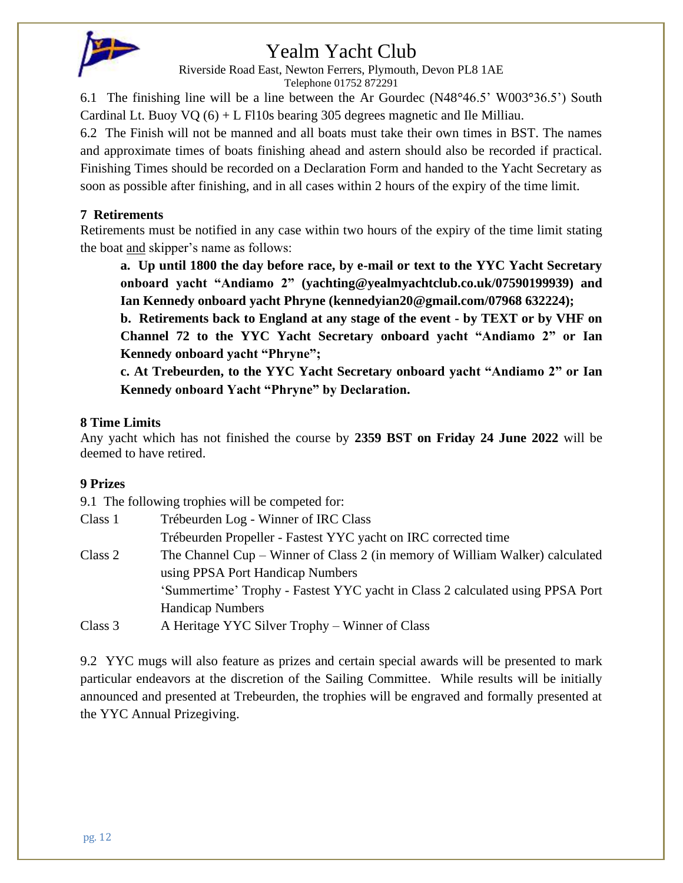

Riverside Road East, Newton Ferrers, Plymouth, Devon PL8 1AE

Telephone 01752 872291

6.1 The finishing line will be a line between the Ar Gourdec (N48**°**46.5' W003**°**36.5') South Cardinal Lt. Buoy  $VQ(6) + L$  Fl10s bearing 305 degrees magnetic and Ile Milliau.

6.2 The Finish will not be manned and all boats must take their own times in BST. The names and approximate times of boats finishing ahead and astern should also be recorded if practical. Finishing Times should be recorded on a Declaration Form and handed to the Yacht Secretary as soon as possible after finishing, and in all cases within 2 hours of the expiry of the time limit.

### **7 Retirements**

Retirements must be notified in any case within two hours of the expiry of the time limit stating the boat and skipper's name as follows:

**a. Up until 1800 the day before race, by e-mail or text to the YYC Yacht Secretary onboard yacht "Andiamo 2" (yachting@yealmyachtclub.co.uk/07590199939) and Ian Kennedy onboard yacht Phryne (kennedyian20@gmail.com/07968 632224);**

**b. Retirements back to England at any stage of the event - by TEXT or by VHF on Channel 72 to the YYC Yacht Secretary onboard yacht "Andiamo 2" or Ian Kennedy onboard yacht "Phryne";** 

**c. At Trebeurden, to the YYC Yacht Secretary onboard yacht "Andiamo 2" or Ian Kennedy onboard Yacht "Phryne" by Declaration.**

### **8 Time Limits**

Any yacht which has not finished the course by **2359 BST on Friday 24 June 2022** will be deemed to have retired.

### **9 Prizes**

9.1 The following trophies will be competed for:

| Class 1 | Trébeurden Log - Winner of IRC Class                                          |
|---------|-------------------------------------------------------------------------------|
|         | Trébeurden Propeller - Fastest YYC yacht on IRC corrected time                |
| Class 2 | The Channel Cup – Winner of Class 2 (in memory of William Walker) calculated  |
|         | using PPSA Port Handicap Numbers                                              |
|         | 'Summertime' Trophy - Fastest YYC yacht in Class 2 calculated using PPSA Port |
|         | <b>Handicap Numbers</b>                                                       |
| Class 3 | A Heritage YYC Silver Trophy – Winner of Class                                |

9.2 YYC mugs will also feature as prizes and certain special awards will be presented to mark particular endeavors at the discretion of the Sailing Committee. While results will be initially announced and presented at Trebeurden, the trophies will be engraved and formally presented at the YYC Annual Prizegiving.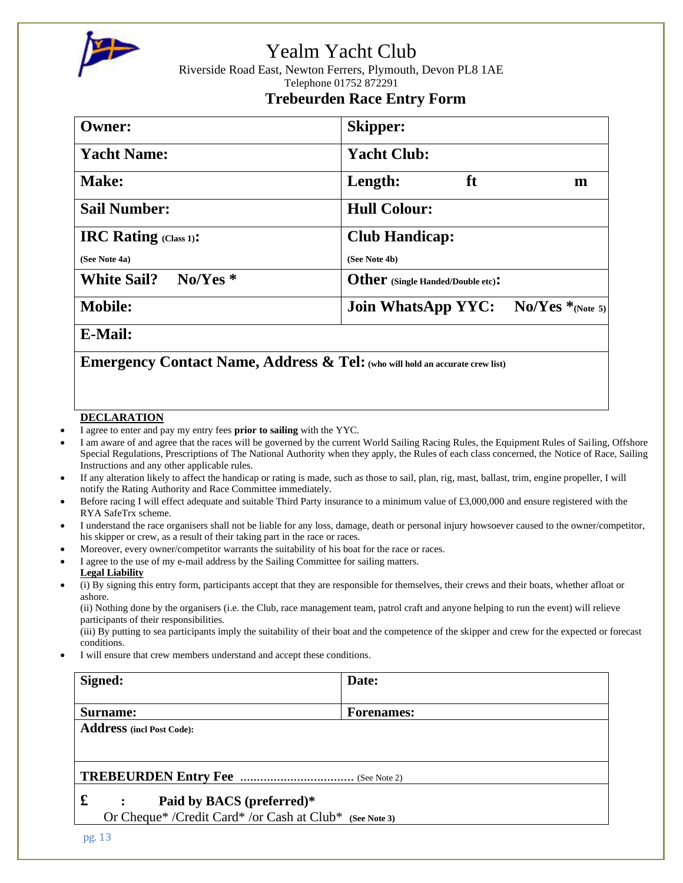

Riverside Road East, Newton Ferrers, Plymouth, Devon PL8 1AE Telephone 01752 872291

### **Trebeurden Race Entry Form**

| <b>Owner:</b>                   | <b>Skipper:</b>                                       |  |  |  |
|---------------------------------|-------------------------------------------------------|--|--|--|
| <b>Yacht Name:</b>              | <b>Yacht Club:</b>                                    |  |  |  |
| Make:                           | ft<br>Length:<br>m                                    |  |  |  |
| <b>Sail Number:</b>             | <b>Hull Colour:</b>                                   |  |  |  |
| <b>IRC Rating (Class 1):</b>    | <b>Club Handicap:</b>                                 |  |  |  |
| (See Note 4a)                   | (See Note 4b)                                         |  |  |  |
| <b>White Sail?</b><br>$No/Yes*$ | Other (Single Handed/Double etc):                     |  |  |  |
| <b>Mobile:</b>                  | $\rm No/Yes*_{(Note 5)}$<br><b>Join WhatsApp YYC:</b> |  |  |  |
| __ _ _ _                        |                                                       |  |  |  |

**E-Mail:**

**Emergency Contact Name, Address & Tel:(who will hold an accurate crew list)**

### **DECLARATION**

- I agree to enter and pay my entry fees **prior to sailing** with the YYC.
- I am aware of and agree that the races will be governed by the current World Sailing Racing Rules, the Equipment Rules of Sailing, Offshore Special Regulations, Prescriptions of The National Authority when they apply, the Rules of each class concerned, the Notice of Race, Sailing Instructions and any other applicable rules.
- If any alteration likely to affect the handicap or rating is made, such as those to sail, plan, rig, mast, ballast, trim, engine propeller, I will notify the Rating Authority and Race Committee immediately.
- Before racing I will effect adequate and suitable Third Party insurance to a minimum value of £3,000,000 and ensure registered with the RYA SafeTrx scheme.
- I understand the race organisers shall not be liable for any loss, damage, death or personal injury howsoever caused to the owner/competitor, his skipper or crew, as a result of their taking part in the race or races.
- Moreover, every owner/competitor warrants the suitability of his boat for the race or races.
- I agree to the use of my e-mail address by the Sailing Committee for sailing matters.
- **Legal Liability**
- (i) By signing this entry form, participants accept that they are responsible for themselves, their crews and their boats, whether afloat or ashore.

(ii) Nothing done by the organisers (i.e. the Club, race management team, patrol craft and anyone helping to run the event) will relieve participants of their responsibilities.

(iii) By putting to sea participants imply the suitability of their boat and the competence of the skipper and crew for the expected or forecast conditions.

I will ensure that crew members understand and accept these conditions.

| Signed:                                                 | Date:             |  |
|---------------------------------------------------------|-------------------|--|
| Surname:                                                | <b>Forenames:</b> |  |
| <b>Address</b> (incl Post Code):                        |                   |  |
|                                                         |                   |  |
|                                                         |                   |  |
| £<br>Paid by BACS (preferred)*                          |                   |  |
| Or Cheque* /Credit Card* /or Cash at Club* (See Note 3) |                   |  |
| no <sub>13</sub>                                        |                   |  |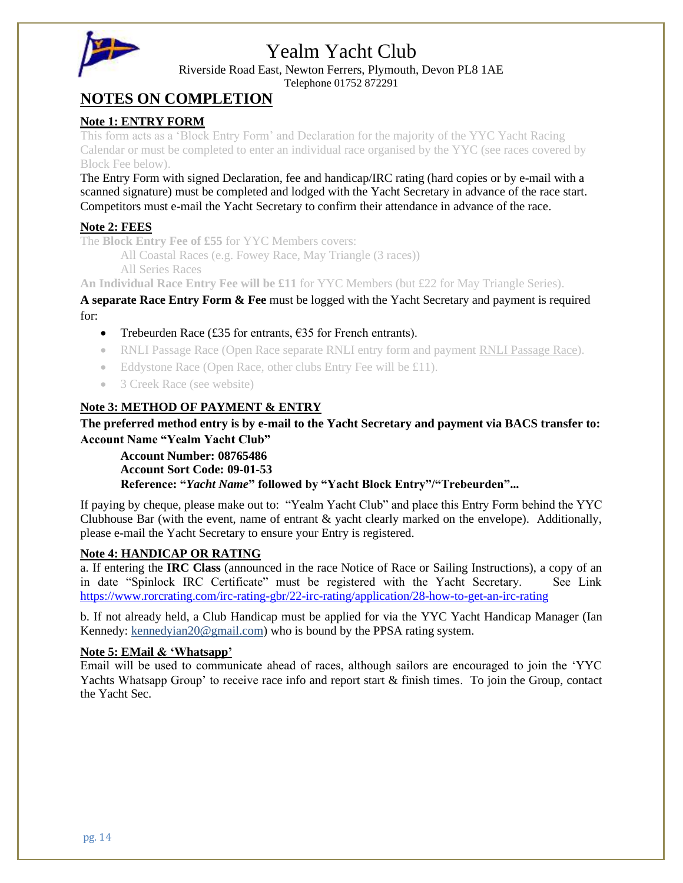

Riverside Road East, Newton Ferrers, Plymouth, Devon PL8 1AE

Telephone 01752 872291

### **NOTES ON COMPLETION**

#### **Note 1: ENTRY FORM**

This form acts as a 'Block Entry Form' and Declaration for the majority of the YYC Yacht Racing Calendar or must be completed to enter an individual race organised by the YYC (see races covered by Block Fee below).

The Entry Form with signed Declaration, fee and handicap/IRC rating (hard copies or by e-mail with a scanned signature) must be completed and lodged with the Yacht Secretary in advance of the race start. Competitors must e-mail the Yacht Secretary to confirm their attendance in advance of the race.

### **Note 2: FEES**

The **Block Entry Fee of £55** for YYC Members covers:

All Coastal Races (e.g. Fowey Race, May Triangle (3 races))

All Series Races

**An Individual Race Entry Fee will be £11** for YYC Members (but £22 for May Triangle Series).

**A separate Race Entry Form & Fee** must be logged with the Yacht Secretary and payment is required for:

- Trebeurden Race (£35 for entrants,  $£35$  for French entrants).
- RNLI Passage Race (Open Race separate RNLI entry form and payment [RNLI Passage Race\)](https://yealmyachtclub.co.uk/racing-2/rnli-passage-race/).
- Eddystone Race (Open Race, other clubs Entry Fee will be £11).
- 3 Creek Race (see website)

### **Note 3: METHOD OF PAYMENT & ENTRY**

**The preferred method entry is by e-mail to the Yacht Secretary and payment via BACS transfer to: Account Name "Yealm Yacht Club"**

**Account Number: 08765486**

**Account Sort Code: 09-01-53**

**Reference: "***Yacht Name***" followed by "Yacht Block Entry"/"Trebeurden"...**

If paying by cheque, please make out to: "Yealm Yacht Club" and place this Entry Form behind the YYC Clubhouse Bar (with the event, name of entrant & yacht clearly marked on the envelope). Additionally, please e-mail the Yacht Secretary to ensure your Entry is registered.

#### **Note 4: HANDICAP OR RATING**

a. If entering the **IRC Class** (announced in the race Notice of Race or Sailing Instructions), a copy of an in date "Spinlock IRC Certificate" must be registered with the Yacht Secretary. See Link <https://www.rorcrating.com/irc-rating-gbr/22-irc-rating/application/28-how-to-get-an-irc-rating>

b. If not already held, a Club Handicap must be applied for via the YYC Yacht Handicap Manager (Ian Kennedy: [kennedyian20@gmail.com\)](mailto:kennedyian20@gmail.com) who is bound by the PPSA rating system.

#### **Note 5: EMail & 'Whatsapp'**

Email will be used to communicate ahead of races, although sailors are encouraged to join the 'YYC Yachts Whatsapp Group' to receive race info and report start & finish times. To join the Group, contact the Yacht Sec.